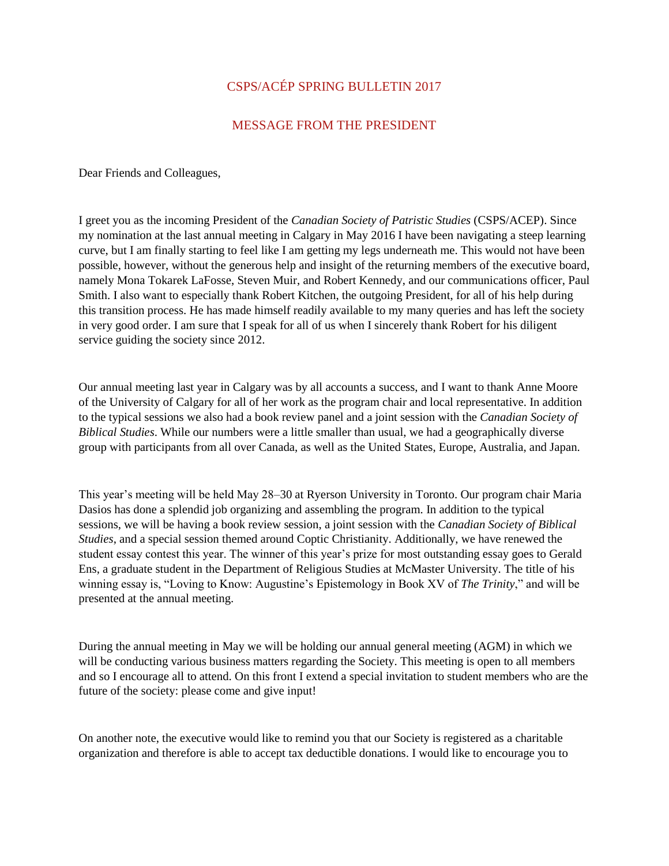# CSPS/ACÉP SPRING BULLETIN 2017

# MESSAGE FROM THE PRESIDENT

Dear Friends and Colleagues,

I greet you as the incoming President of the *Canadian Society of Patristic Studies* (CSPS/ACEP). Since my nomination at the last annual meeting in Calgary in May 2016 I have been navigating a steep learning curve, but I am finally starting to feel like I am getting my legs underneath me. This would not have been possible, however, without the generous help and insight of the returning members of the executive board, namely Mona Tokarek LaFosse, Steven Muir, and Robert Kennedy, and our communications officer, Paul Smith. I also want to especially thank Robert Kitchen, the outgoing President, for all of his help during this transition process. He has made himself readily available to my many queries and has left the society in very good order. I am sure that I speak for all of us when I sincerely thank Robert for his diligent service guiding the society since 2012.

Our annual meeting last year in Calgary was by all accounts a success, and I want to thank Anne Moore of the University of Calgary for all of her work as the program chair and local representative. In addition to the typical sessions we also had a book review panel and a joint session with the *Canadian Society of Biblical Studies*. While our numbers were a little smaller than usual, we had a geographically diverse group with participants from all over Canada, as well as the United States, Europe, Australia, and Japan.

This year's meeting will be held May 28–30 at Ryerson University in Toronto. Our program chair Maria Dasios has done a splendid job organizing and assembling the program. In addition to the typical sessions, we will be having a book review session, a joint session with the *Canadian Society of Biblical Studies*, and a special session themed around Coptic Christianity. Additionally, we have renewed the student essay contest this year. The winner of this year's prize for most outstanding essay goes to Gerald Ens, a graduate student in the Department of Religious Studies at McMaster University. The title of his winning essay is, "Loving to Know: Augustine's Epistemology in Book XV of *The Trinity*," and will be presented at the annual meeting.

During the annual meeting in May we will be holding our annual general meeting (AGM) in which we will be conducting various business matters regarding the Society. This meeting is open to all members and so I encourage all to attend. On this front I extend a special invitation to student members who are the future of the society: please come and give input!

On another note, the executive would like to remind you that our Society is registered as a charitable organization and therefore is able to accept tax deductible donations. I would like to encourage you to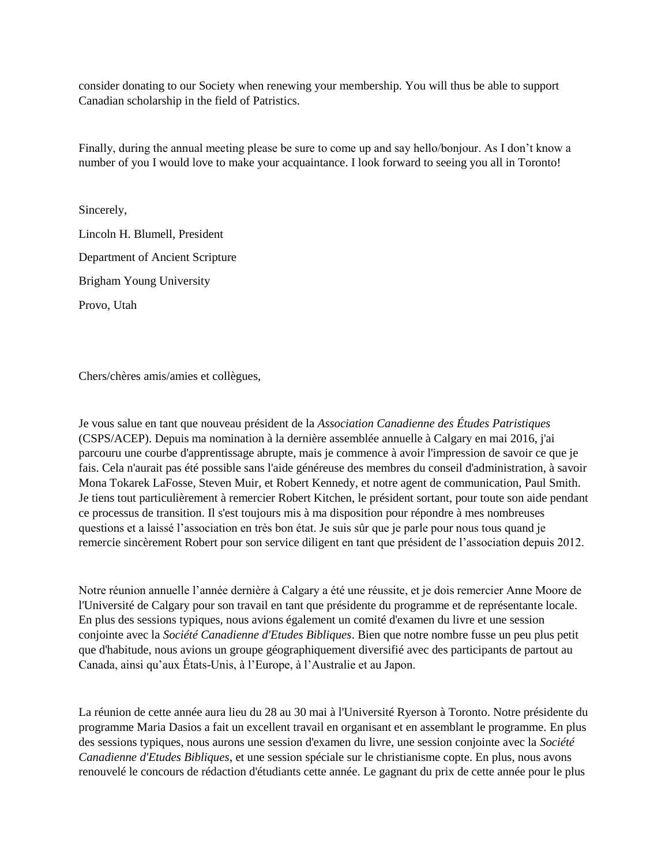consider donating to our Society when renewing your membership. You will thus be able to support Canadian scholarship in the field of Patristics.

Finally, during the annual meeting please be sure to come up and say hello/bonjour. As I don't know a number of you I would love to make your acquaintance. I look forward to seeing you all in Toronto!

Sincerely, Lincoln H. Blumell, President Department of Ancient Scripture Brigham Young University Provo, Utah

Chers/chères amis/amies et collègues,

Je vous salue en tant que nouveau président de la *Association Canadienne des Études Patristiques* (CSPS/ACEP). Depuis ma nomination à la dernière assemblée annuelle à Calgary en mai 2016, j'ai parcouru une courbe d'apprentissage abrupte, mais je commence à avoir l'impression de savoir ce que je fais. Cela n'aurait pas été possible sans l'aide généreuse des membres du conseil d'administration, à savoir Mona Tokarek LaFosse, Steven Muir, et Robert Kennedy, et notre agent de communication, Paul Smith. Je tiens tout particulièrement à remercier Robert Kitchen, le président sortant, pour toute son aide pendant ce processus de transition. Il s'est toujours mis à ma disposition pour répondre à mes nombreuses questions et a laissé l'association en très bon état. Je suis sûr que je parle pour nous tous quand je remercie sincèrement Robert pour son service diligent en tant que président de l'association depuis 2012.

Notre réunion annuelle l'année dernière à Calgary a été une réussite, et je dois remercier Anne Moore de l'Université de Calgary pour son travail en tant que présidente du programme et de représentante locale. En plus des sessions typiques, nous avions également un comité d'examen du livre et une session conjointe avec la *Société Canadienne d'Etudes Bibliques*. Bien que notre nombre fusse un peu plus petit que d'habitude, nous avions un groupe géographiquement diversifié avec des participants de partout au Canada, ainsi qu'aux États-Unis, à l'Europe, à l'Australie et au Japon.

La réunion de cette année aura lieu du 28 au 30 mai à l'Université Ryerson à Toronto. Notre présidente du programme Maria Dasios a fait un excellent travail en organisant et en assemblant le programme. En plus des sessions typiques, nous aurons une session d'examen du livre, une session conjointe avec la *Société Canadienne d'Etudes Bibliques*, et une session spéciale sur le christianisme copte. En plus, nous avons renouvelé le concours de rédaction d'étudiants cette année. Le gagnant du prix de cette année pour le plus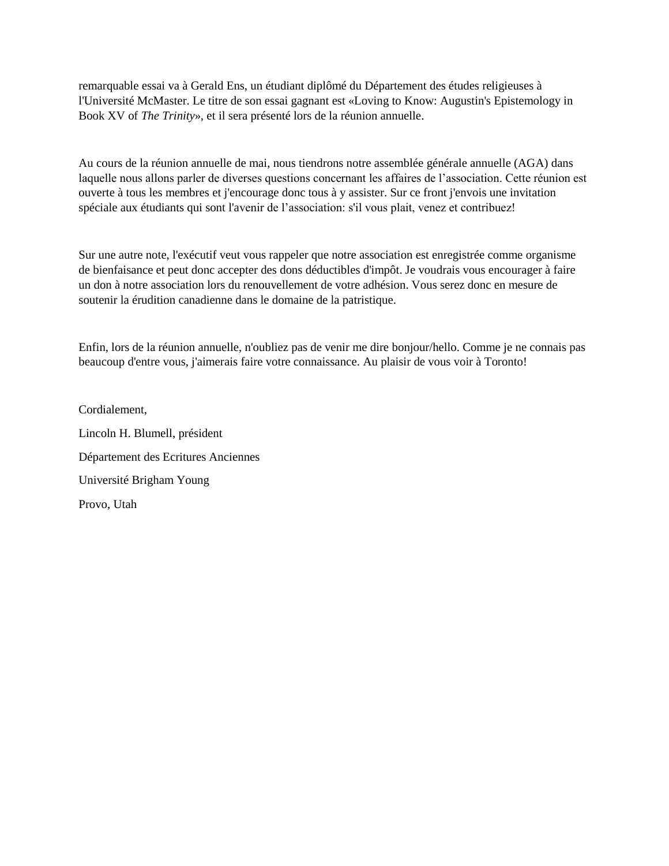remarquable essai va à Gerald Ens, un étudiant diplômé du Département des études religieuses à l'Université McMaster. Le titre de son essai gagnant est «Loving to Know: Augustin's Epistemology in Book XV of *The Trinity*», et il sera présenté lors de la réunion annuelle.

Au cours de la réunion annuelle de mai, nous tiendrons notre assemblée générale annuelle (AGA) dans laquelle nous allons parler de diverses questions concernant les affaires de l'association. Cette réunion est ouverte à tous les membres et j'encourage donc tous à y assister. Sur ce front j'envois une invitation spéciale aux étudiants qui sont l'avenir de l'association: s'il vous plait, venez et contribuez!

Sur une autre note, l'exécutif veut vous rappeler que notre association est enregistrée comme organisme de bienfaisance et peut donc accepter des dons déductibles d'impôt. Je voudrais vous encourager à faire un don à notre association lors du renouvellement de votre adhésion. Vous serez donc en mesure de soutenir la érudition canadienne dans le domaine de la patristique.

Enfin, lors de la réunion annuelle, n'oubliez pas de venir me dire bonjour/hello. Comme je ne connais pas beaucoup d'entre vous, j'aimerais faire votre connaissance. Au plaisir de vous voir à Toronto!

Cordialement, Lincoln H. Blumell, président Département des Ecritures Anciennes Université Brigham Young Provo, Utah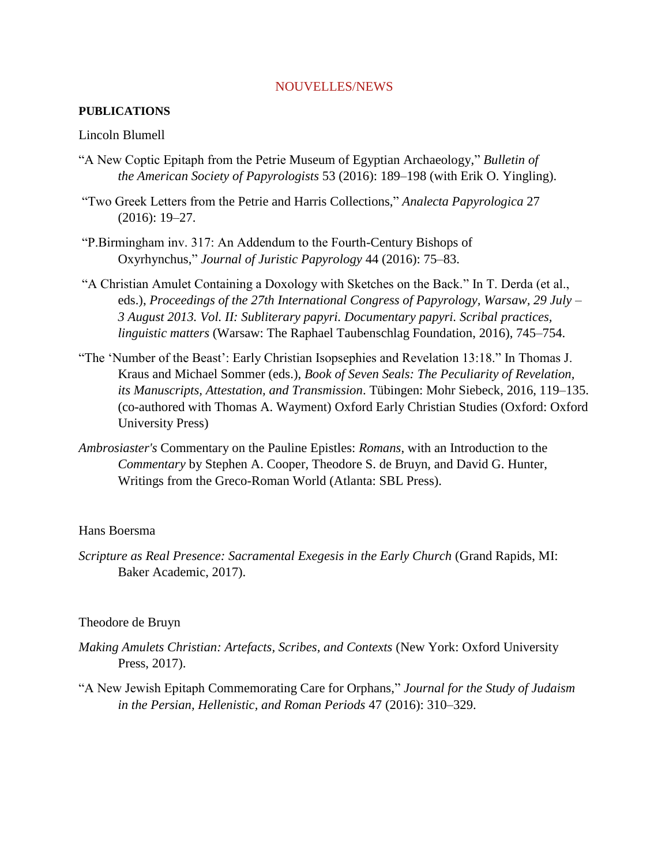## NOUVELLES/NEWS

# **PUBLICATIONS**

# Lincoln Blumell

- "A New Coptic Epitaph from the Petrie Museum of Egyptian Archaeology," *Bulletin of the American Society of Papyrologists* 53 (2016): 189–198 (with Erik O. Yingling).
- "Two Greek Letters from the Petrie and Harris Collections," *Analecta Papyrologica* 27 (2016): 19–27.
- "P.Birmingham inv. 317: An Addendum to the Fourth-Century Bishops of Oxyrhynchus," *Journal of Juristic Papyrology* 44 (2016): 75–83.
- "Α Christian Amulet Containing a Doxology with Sketches on the Back." In T. Derda (et al., eds.), *Proceedings of the 27th International Congress of Papyrology, Warsaw, 29 July – 3 August 2013. Vol. II: Subliterary papyri. Documentary papyri. Scribal practices, linguistic matters* (Warsaw: The Raphael Taubenschlag Foundation, 2016), 745–754.
- "The 'Number of the Beast': Early Christian Isopsephies and Revelation 13:18." In Thomas J. Kraus and Michael Sommer (eds.), *Book of Seven Seals: The Peculiarity of Revelation, its Manuscripts, Attestation, and Transmission*. Tübingen: Mohr Siebeck, 2016, 119–135. (co-authored with Thomas A. Wayment) Oxford Early Christian Studies (Oxford: Oxford University Press)
- *Ambrosiaster's* Commentary on the Pauline Epistles: *Romans*, with an Introduction to the *Commentary* by Stephen A. Cooper, Theodore S. de Bruyn, and David G. Hunter, Writings from the Greco-Roman World (Atlanta: SBL Press).

## Hans Boersma

*Scripture as Real Presence: Sacramental Exegesis in the Early Church* (Grand Rapids, MI: Baker Academic, 2017).

# Theodore de Bruyn

- *Making Amulets Christian: Artefacts, Scribes, and Contexts* (New York: Oxford University Press, 2017).
- "A New Jewish Epitaph Commemorating Care for Orphans," *Journal for the Study of Judaism in the Persian, Hellenistic, and Roman Periods* 47 (2016): 310–329.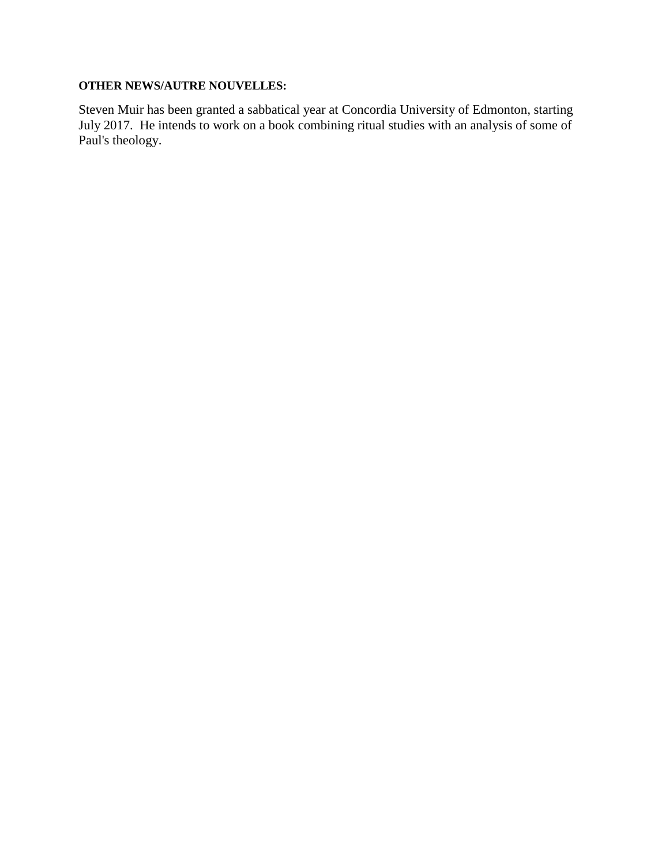# **OTHER NEWS/AUTRE NOUVELLES:**

Steven Muir has been granted a sabbatical year at Concordia University of Edmonton, starting July 2017. He intends to work on a book combining ritual studies with an analysis of some of Paul's theology.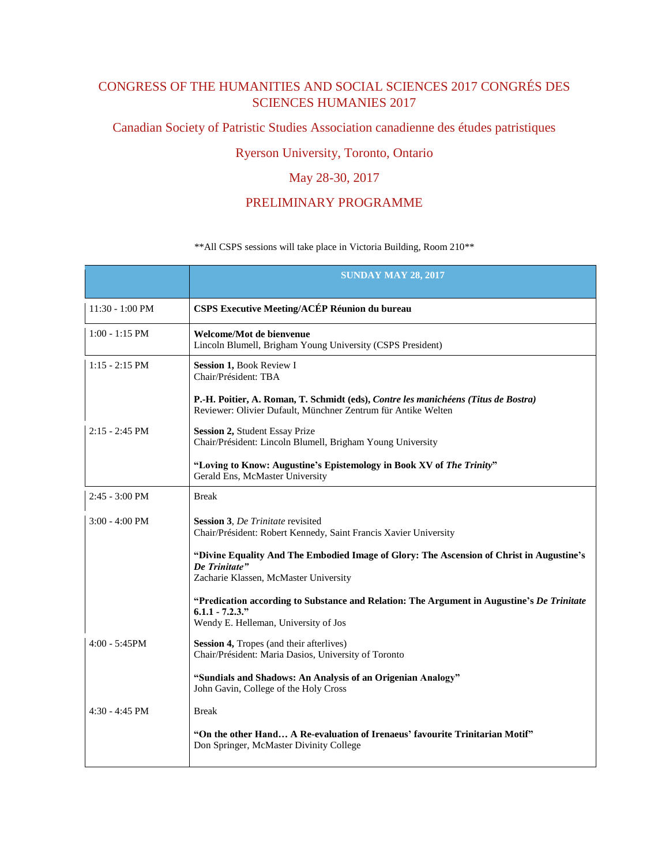# CONGRESS OF THE HUMANITIES AND SOCIAL SCIENCES 2017 CONGRÉS DES SCIENCES HUMANIES 2017

Canadian Society of Patristic Studies Association canadienne des études patristiques

# Ryerson University, Toronto, Ontario

# May 28-30, 2017

# PRELIMINARY PROGRAMME

## \*\*All CSPS sessions will take place in Victoria Building, Room 210\*\*

|                           | <b>SUNDAY MAY 28, 2017</b>                                                                                                                               |
|---------------------------|----------------------------------------------------------------------------------------------------------------------------------------------------------|
| $11:30 - 1:00 \text{ PM}$ | <b>CSPS Executive Meeting/ACÉP Réunion du bureau</b>                                                                                                     |
| $1:00 - 1:15$ PM          | Welcome/Mot de bienvenue<br>Lincoln Blumell, Brigham Young University (CSPS President)                                                                   |
| $1:15 - 2:15$ PM          | Session 1, Book Review I<br>Chair/Président: TBA                                                                                                         |
|                           | P.-H. Poitier, A. Roman, T. Schmidt (eds), Contre les manichéens (Titus de Bostra)<br>Reviewer: Olivier Dufault, Münchner Zentrum für Antike Welten      |
| $2:15 - 2:45$ PM          | Session 2, Student Essay Prize<br>Chair/Président: Lincoln Blumell, Brigham Young University                                                             |
|                           | "Loving to Know: Augustine's Epistemology in Book XV of The Trinity"<br>Gerald Ens, McMaster University                                                  |
| $2:45 - 3:00 \text{ PM}$  | <b>Break</b>                                                                                                                                             |
| $3:00 - 4:00 \text{ PM}$  | <b>Session 3, De Trinitate revisited</b><br>Chair/Président: Robert Kennedy, Saint Francis Xavier University                                             |
|                           | "Divine Equality And The Embodied Image of Glory: The Ascension of Christ in Augustine's<br>De Trinitate"<br>Zacharie Klassen, McMaster University       |
|                           | "Predication according to Substance and Relation: The Argument in Augustine's De Trinitate<br>$6.1.1 - 7.2.3$ ."<br>Wendy E. Helleman, University of Jos |
| $4:00 - 5:45$ PM          | Session 4, Tropes (and their afterlives)<br>Chair/Président: Maria Dasios, University of Toronto                                                         |
|                           | "Sundials and Shadows: An Analysis of an Origenian Analogy"<br>John Gavin, College of the Holy Cross                                                     |
| $4:30 - 4:45$ PM          | <b>Break</b>                                                                                                                                             |
|                           | "On the other Hand A Re-evaluation of Irenaeus' favourite Trinitarian Motif"<br>Don Springer, McMaster Divinity College                                  |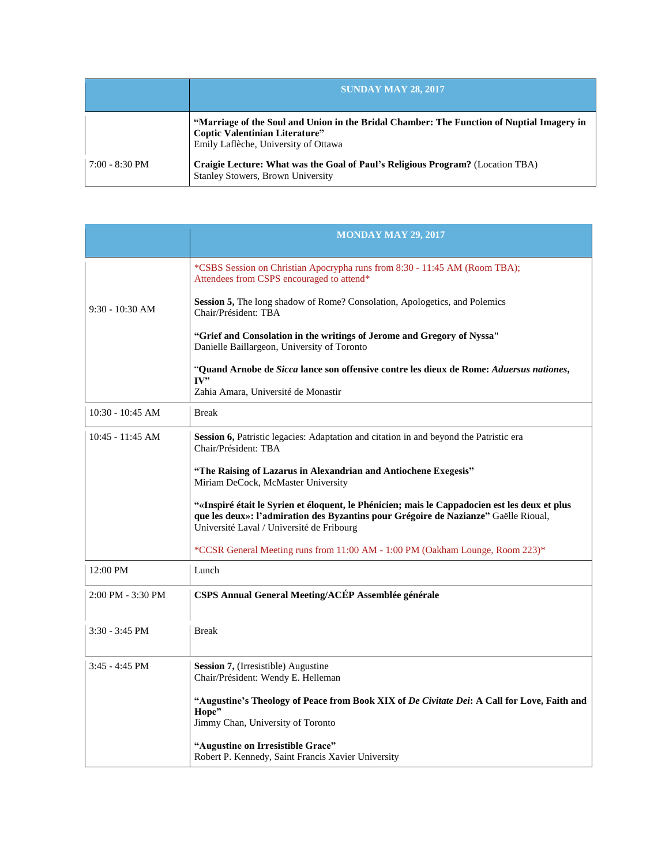|                          | <b>SUNDAY MAY 28, 2017</b>                                                                                                                                          |
|--------------------------|---------------------------------------------------------------------------------------------------------------------------------------------------------------------|
|                          | "Marriage of the Soul and Union in the Bridal Chamber: The Function of Nuptial Imagery in<br>Coptic Valentinian Literature"<br>Emily Laflèche, University of Ottawa |
| $7:00 - 8:30 \text{ PM}$ | Craigie Lecture: What was the Goal of Paul's Religious Program? (Location TBA)<br><b>Stanley Stowers, Brown University</b>                                          |

|                    | <b>MONDAY MAY 29, 2017</b>                                                                                                                                                                                                        |
|--------------------|-----------------------------------------------------------------------------------------------------------------------------------------------------------------------------------------------------------------------------------|
|                    | *CSBS Session on Christian Apocrypha runs from 8:30 - 11:45 AM (Room TBA);<br>Attendees from CSPS encouraged to attend*                                                                                                           |
| $9:30 - 10:30$ AM  | Session 5, The long shadow of Rome? Consolation, Apologetics, and Polemics<br>Chair/Président: TBA                                                                                                                                |
|                    | "Grief and Consolation in the writings of Jerome and Gregory of Nyssa"<br>Danielle Baillargeon, University of Toronto                                                                                                             |
|                    | "Quand Arnobe de Sicca lance son offensive contre les dieux de Rome: Aduersus nationes,<br>IV"<br>Zahia Amara, Université de Monastir                                                                                             |
| $10:30 - 10:45$ AM | <b>Break</b>                                                                                                                                                                                                                      |
| $10:45 - 11:45$ AM | Session 6, Patristic legacies: Adaptation and citation in and beyond the Patristic era<br>Chair/Président: TBA                                                                                                                    |
|                    | "The Raising of Lazarus in Alexandrian and Antiochene Exegesis"<br>Miriam DeCock, McMaster University                                                                                                                             |
|                    | "«Inspiré était le Syrien et éloquent, le Phénicien; mais le Cappadocien est les deux et plus<br>que les deux»: l'admiration des Byzantins pour Grégoire de Nazianze" Gaëlle Rioual,<br>Université Laval / Université de Fribourg |
|                    | *CCSR General Meeting runs from 11:00 AM - 1:00 PM (Oakham Lounge, Room 223)*                                                                                                                                                     |
| 12:00 PM           | Lunch                                                                                                                                                                                                                             |
| 2:00 PM - 3:30 PM  | CSPS Annual General Meeting/ACÉP Assemblée générale                                                                                                                                                                               |
| $3:30 - 3:45$ PM   | <b>Break</b>                                                                                                                                                                                                                      |
| 3:45 - 4:45 PM     | <b>Session 7, (Irresistible)</b> Augustine<br>Chair/Président: Wendy E. Helleman                                                                                                                                                  |
|                    | "Augustine's Theology of Peace from Book XIX of De Civitate Dei: A Call for Love, Faith and<br>Hope"<br>Jimmy Chan, University of Toronto                                                                                         |
|                    | "Augustine on Irresistible Grace"<br>Robert P. Kennedy, Saint Francis Xavier University                                                                                                                                           |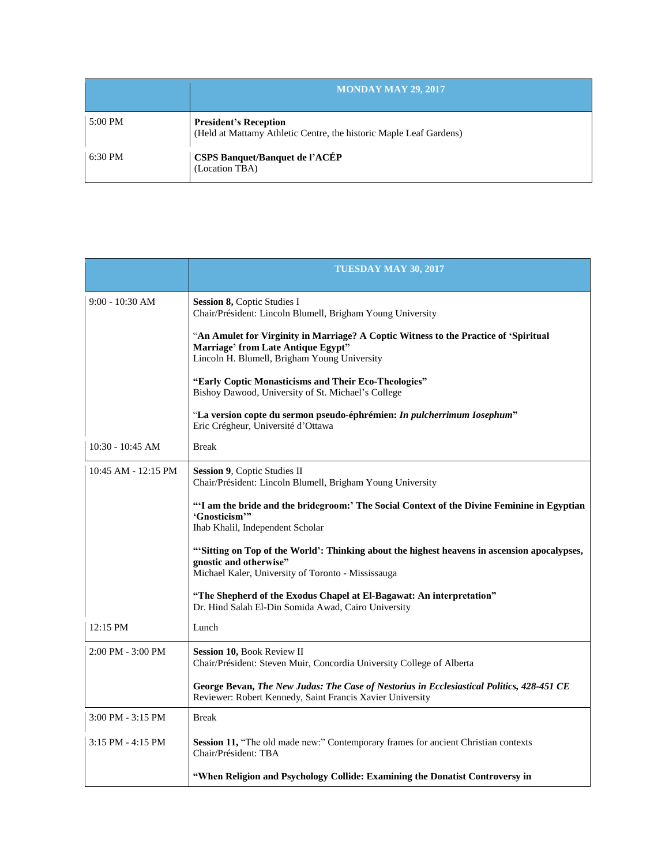|         | <b>MONDAY MAY 29, 2017</b>                                                                         |
|---------|----------------------------------------------------------------------------------------------------|
| 5:00 PM | <b>President's Reception</b><br>(Held at Mattamy Athletic Centre, the historic Maple Leaf Gardens) |
| 6:30 PM | <b>CSPS Banquet/Banquet de l'ACÉP</b><br>(Location TBA)                                            |

|                         | <b>TUESDAY MAY 30, 2017</b>                                                                                                                                                 |
|-------------------------|-----------------------------------------------------------------------------------------------------------------------------------------------------------------------------|
| $9:00 - 10:30$ AM       | Session 8, Coptic Studies I<br>Chair/Président: Lincoln Blumell, Brigham Young University                                                                                   |
|                         | "An Amulet for Virginity in Marriage? A Coptic Witness to the Practice of 'Spiritual<br>Marriage' from Late Antique Egypt"<br>Lincoln H. Blumell, Brigham Young University  |
|                         | "Early Coptic Monasticisms and Their Eco-Theologies"<br>Bishoy Dawood, University of St. Michael's College                                                                  |
|                         | "La version copte du sermon pseudo-éphrémien: In pulcherrimum Iosephum"<br>Eric Crégheur, Université d'Ottawa                                                               |
| $10:30 - 10:45$ AM      | <b>Break</b>                                                                                                                                                                |
| $10:45$ AM - $12:15$ PM | Session 9, Coptic Studies II<br>Chair/Président: Lincoln Blumell, Brigham Young University                                                                                  |
|                         | "'I am the bride and the bridegroom:' The Social Context of the Divine Feminine in Egyptian<br>'Gnosticism'"<br>Ihab Khalil, Independent Scholar                            |
|                         | "Sitting on Top of the World': Thinking about the highest heavens in ascension apocalypses,<br>gnostic and otherwise"<br>Michael Kaler, University of Toronto - Mississauga |
|                         | "The Shepherd of the Exodus Chapel at El-Bagawat: An interpretation"<br>Dr. Hind Salah El-Din Somida Awad, Cairo University                                                 |
| 12:15 PM                | Lunch                                                                                                                                                                       |
| $2:00$ PM - $3:00$ PM   | Session 10, Book Review II<br>Chair/Président: Steven Muir, Concordia University College of Alberta                                                                         |
|                         | George Bevan, The New Judas: The Case of Nestorius in Ecclesiastical Politics, 428-451 CE<br>Reviewer: Robert Kennedy, Saint Francis Xavier University                      |
| $3:00$ PM - $3:15$ PM   | <b>Break</b>                                                                                                                                                                |
| $3:15$ PM - $4:15$ PM   | Session 11, "The old made new:" Contemporary frames for ancient Christian contexts<br>Chair/Président: TBA                                                                  |
|                         | "When Religion and Psychology Collide: Examining the Donatist Controversy in                                                                                                |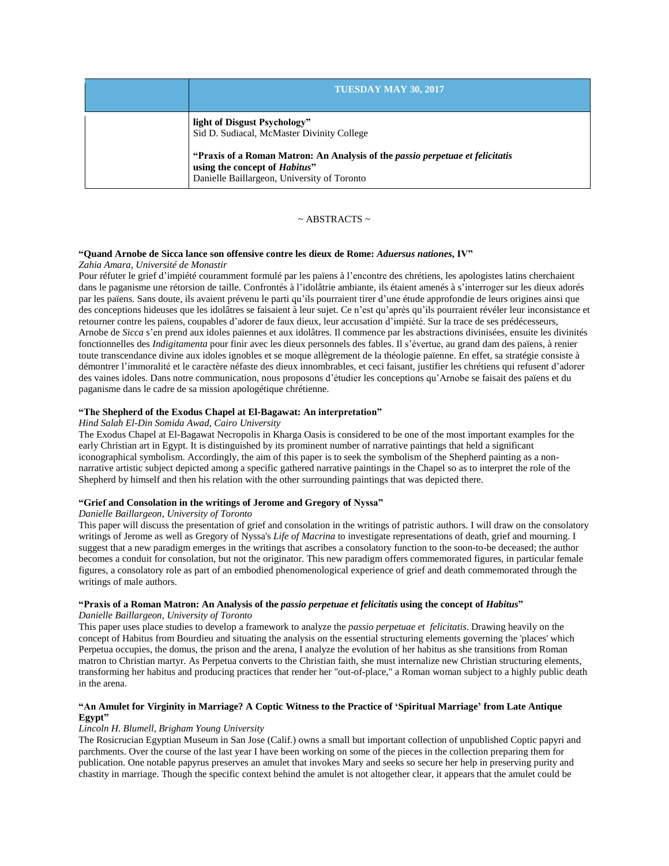| TUESDAY MAY 30, 2017                                                                                                                                                                                                                               |
|----------------------------------------------------------------------------------------------------------------------------------------------------------------------------------------------------------------------------------------------------|
| light of Disgust Psychology"<br>Sid D. Sudiacal, McMaster Divinity College<br>"Praxis of a Roman Matron: An Analysis of the <i>passio perpetuae et felicitatis</i><br>using the concept of Habitus"<br>Danielle Baillargeon, University of Toronto |

#### $\sim$  ABSTRACTS  $\sim$

### **"Quand Arnobe de Sicca lance son offensive contre les dieux de Rome:** *Aduersus nationes***, IV"**

#### *Zahia Amara, Université de Monastir*

Pour réfuter le grief d'impiété couramment formulé par les païens à l'encontre des chrétiens, les apologistes latins cherchaient dans le paganisme une rétorsion de taille. Confrontés à l'idolâtrie ambiante, ils étaient amenés à s'interroger sur les dieux adorés par les païens. Sans doute, ils avaient prévenu le parti qu'ils pourraient tirer d'une étude approfondie de leurs origines ainsi que des conceptions hideuses que les idolâtres se faisaient à leur sujet. Ce n'est qu'après qu'ils pourraient révéler leur inconsistance et retourner contre les païens, coupables d'adorer de faux dieux, leur accusation d'impiété. Sur la trace de ses prédécesseurs, Arnobe de *Sicca* s'en prend aux idoles païennes et aux idolâtres. Il commence par les abstractions divinisées, ensuite les divinités fonctionnelles des *Indigitamenta* pour finir avec les dieux personnels des fables. Il s'évertue, au grand dam des païens, à renier toute transcendance divine aux idoles ignobles et se moque allègrement de la théologie païenne. En effet, sa stratégie consiste à démontrer l'immoralité et le caractère néfaste des dieux innombrables, et ceci faisant, justifier les chrétiens qui refusent d'adorer des vaines idoles. Dans notre communication, nous proposons d'étudier les conceptions qu'Arnobe se faisait des païens et du paganisme dans le cadre de sa mission apologétique chrétienne.

#### **"The Shepherd of the Exodus Chapel at El-Bagawat: An interpretation"**

## *Hind Salah El-Din Somida Awad, Cairo University*

The Exodus Chapel at El-Bagawat Necropolis in Kharga Oasis is considered to be one of the most important examples for the early Christian art in Egypt. It is distinguished by its prominent number of narrative paintings that held a significant iconographical symbolism. Accordingly, the aim of this paper is to seek the symbolism of the Shepherd painting as a nonnarrative artistic subject depicted among a specific gathered narrative paintings in the Chapel so as to interpret the role of the Shepherd by himself and then his relation with the other surrounding paintings that was depicted there.

## **"Grief and Consolation in the writings of Jerome and Gregory of Nyssa"**

#### *Danielle Baillargeon, University of Toronto*

This paper will discuss the presentation of grief and consolation in the writings of patristic authors. I will draw on the consolatory writings of Jerome as well as Gregory of Nyssa's *Life of Macrina* to investigate representations of death, grief and mourning. I suggest that a new paradigm emerges in the writings that ascribes a consolatory function to the soon-to-be deceased; the author becomes a conduit for consolation, but not the originator. This new paradigm offers commemorated figures, in particular female figures, a consolatory role as part of an embodied phenomenological experience of grief and death commemorated through the writings of male authors.

## "Praxis of a Roman Matron: An Analysis of the passio perpetuae et felicitatis using the concept of Habitus"

*Danielle Baillargeon, University of Toronto*

This paper uses place studies to develop a framework to analyze the *passio perpetuae et felicitatis*. Drawing heavily on the concept of Habitus from Bourdieu and situating the analysis on the essential structuring elements governing the 'places' which Perpetua occupies, the domus, the prison and the arena, I analyze the evolution of her habitus as she transitions from Roman matron to Christian martyr. As Perpetua converts to the Christian faith, she must internalize new Christian structuring elements, transforming her habitus and producing practices that render her "out-of-place," a Roman woman subject to a highly public death in the arena.

## "An Amulet for Virginity in Marriage? A Coptic Witness to the Practice of 'Spiritual Marriage' from Late Antique **Egypt"**

#### *Lincoln H. Blumell, Brigham Young University*

The Rosicrucian Egyptian Museum in San Jose (Calif.) owns a small but important collection of unpublished Coptic papyri and parchments. Over the course of the last year I have been working on some of the pieces in the collection preparing them for publication. One notable papyrus preserves an amulet that invokes Mary and seeks so secure her help in preserving purity and chastity in marriage. Though the specific context behind the amulet is not altogether clear, it appears that the amulet could be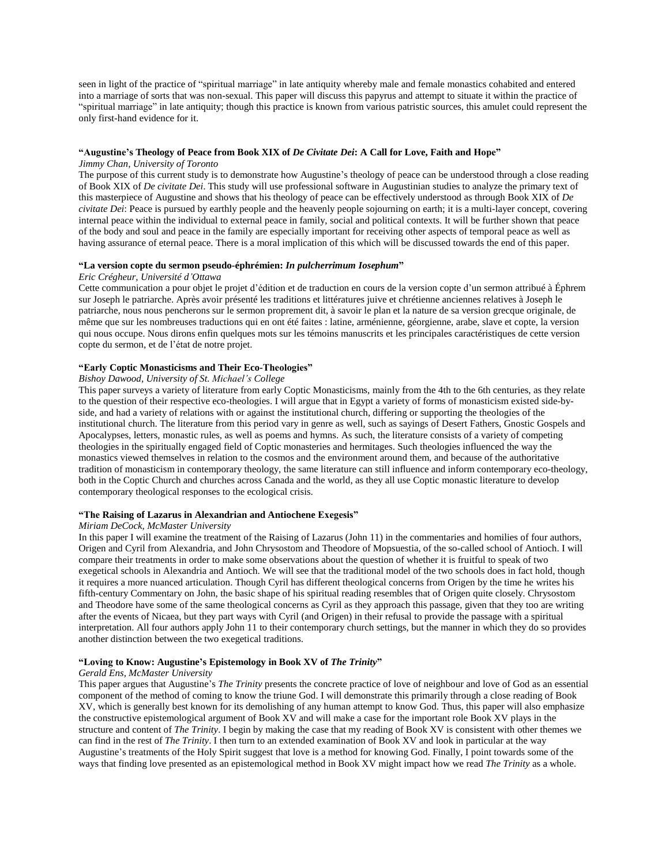seen in light of the practice of "spiritual marriage" in late antiquity whereby male and female monastics cohabited and entered into a marriage of sorts that was non-sexual. This paper will discuss this papyrus and attempt to situate it within the practice of "spiritual marriage" in late antiquity; though this practice is known from various patristic sources, this amulet could represent the only first-hand evidence for it.

#### "Augustine's Theology of Peace from Book XIX of De Civitate Dei: A Call for Love, Faith and Hope"

#### *Jimmy Chan, University of Toronto*

The purpose of this current study is to demonstrate how Augustine's theology of peace can be understood through a close reading of Book XIX of *De civitate Dei*. This study will use professional software in Augustinian studies to analyze the primary text of this masterpiece of Augustine and shows that his theology of peace can be effectively understood as through Book XIX of *De civitate Dei*: Peace is pursued by earthly people and the heavenly people sojourning on earth; it is a multi-layer concept, covering internal peace within the individual to external peace in family, social and political contexts. It will be further shown that peace of the body and soul and peace in the family are especially important for receiving other aspects of temporal peace as well as having assurance of eternal peace. There is a moral implication of this which will be discussed towards the end of this paper.

#### **"La version copte du sermon pseudo-éphrémien:** *In pulcherrimum Iosephum***"**

#### *Eric Crégheur, Université d'Ottawa*

Cette communication a pour objet le projet d'édition et de traduction en cours de la version copte d'un sermon attribué à Éphrem sur Joseph le patriarche. Après avoir présenté les traditions et littératures juive et chrétienne anciennes relatives à Joseph le patriarche, nous nous pencherons sur le sermon proprement dit, à savoir le plan et la nature de sa version grecque originale, de même que sur les nombreuses traductions qui en ont été faites : latine, arménienne, géorgienne, arabe, slave et copte, la version qui nous occupe. Nous dirons enfin quelques mots sur les témoins manuscrits et les principales caractéristiques de cette version copte du sermon, et de l'état de notre projet.

#### **"Early Coptic Monasticisms and Their Eco-Theologies"**

#### *Bishoy Dawood, University of St. Michael's College*

This paper surveys a variety of literature from early Coptic Monasticisms, mainly from the 4th to the 6th centuries, as they relate to the question of their respective eco-theologies. I will argue that in Egypt a variety of forms of monasticism existed side-byside, and had a variety of relations with or against the institutional church, differing or supporting the theologies of the institutional church. The literature from this period vary in genre as well, such as sayings of Desert Fathers, Gnostic Gospels and Apocalypses, letters, monastic rules, as well as poems and hymns. As such, the literature consists of a variety of competing theologies in the spiritually engaged field of Coptic monasteries and hermitages. Such theologies influenced the way the monastics viewed themselves in relation to the cosmos and the environment around them, and because of the authoritative tradition of monasticism in contemporary theology, the same literature can still influence and inform contemporary eco-theology, both in the Coptic Church and churches across Canada and the world, as they all use Coptic monastic literature to develop contemporary theological responses to the ecological crisis.

#### **"The Raising of Lazarus in Alexandrian and Antiochene Exegesis"**

#### *Miriam DeCock, McMaster University*

In this paper I will examine the treatment of the Raising of Lazarus (John 11) in the commentaries and homilies of four authors, Origen and Cyril from Alexandria, and John Chrysostom and Theodore of Mopsuestia, of the so-called school of Antioch. I will compare their treatments in order to make some observations about the question of whether it is fruitful to speak of two exegetical schools in Alexandria and Antioch. We will see that the traditional model of the two schools does in fact hold, though it requires a more nuanced articulation. Though Cyril has different theological concerns from Origen by the time he writes his fifth-century Commentary on John, the basic shape of his spiritual reading resembles that of Origen quite closely. Chrysostom and Theodore have some of the same theological concerns as Cyril as they approach this passage, given that they too are writing after the events of Nicaea, but they part ways with Cyril (and Origen) in their refusal to provide the passage with a spiritual interpretation. All four authors apply John 11 to their contemporary church settings, but the manner in which they do so provides another distinction between the two exegetical traditions.

#### **"Loving to Know: Augustine's Epistemology in Book XV of** *The Trinity***"**

#### *Gerald Ens, McMaster University*

This paper argues that Augustine's *The Trinity* presents the concrete practice of love of neighbour and love of God as an essential component of the method of coming to know the triune God. I will demonstrate this primarily through a close reading of Book XV, which is generally best known for its demolishing of any human attempt to know God. Thus, this paper will also emphasize the constructive epistemological argument of Book XV and will make a case for the important role Book XV plays in the structure and content of *The Trinity*. I begin by making the case that my reading of Book XV is consistent with other themes we can find in the rest of *The Trinity*. I then turn to an extended examination of Book XV and look in particular at the way Augustine's treatments of the Holy Spirit suggest that love is a method for knowing God. Finally, I point towards some of the ways that finding love presented as an epistemological method in Book XV might impact how we read *The Trinity* as a whole.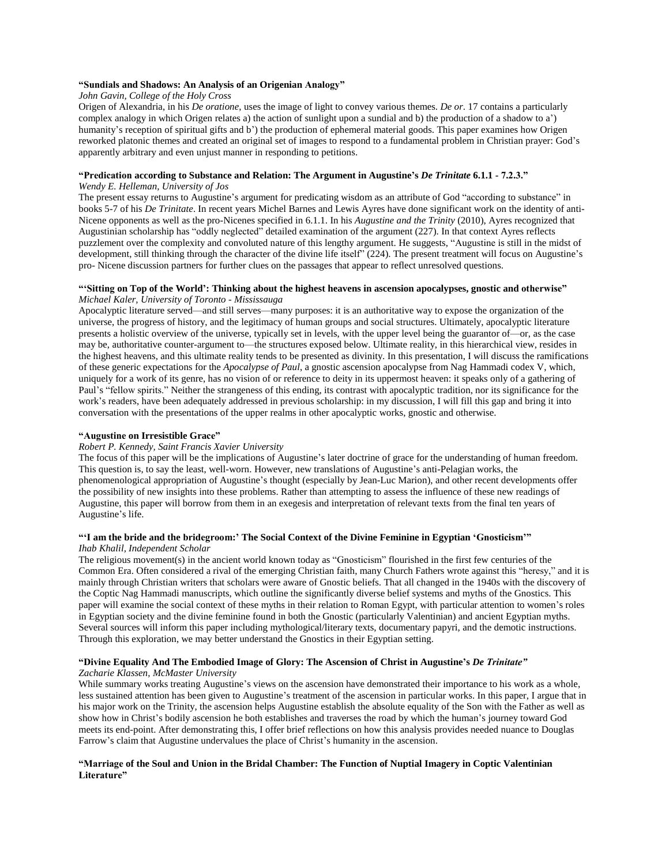### **"Sundials and Shadows: An Analysis of an Origenian Analogy"**

## *John Gavin, College of the Holy Cross*

Origen of Alexandria, in his *De oratione*, uses the image of light to convey various themes. *De or*. 17 contains a particularly complex analogy in which Origen relates a) the action of sunlight upon a sundial and b) the production of a shadow to a') humanity's reception of spiritual gifts and b') the production of ephemeral material goods. This paper examines how Origen reworked platonic themes and created an original set of images to respond to a fundamental problem in Christian prayer: God's apparently arbitrary and even unjust manner in responding to petitions.

## **"Predication according to Substance and Relation: The Argument in Augustine's** *De Trinitate* **6.1.1 - 7.2.3."**

#### *Wendy E. Helleman, University of Jos*

The present essay returns to Augustine's argument for predicating wisdom as an attribute of God "according to substance" in books 5-7 of his *De Trinitate*. In recent years Michel Barnes and Lewis Ayres have done significant work on the identity of anti-Nicene opponents as well as the pro-Nicenes specified in 6.1.1. In his *Augustine and the Trinity* (2010), Ayres recognized that Augustinian scholarship has "oddly neglected" detailed examination of the argument (227). In that context Ayres reflects puzzlement over the complexity and convoluted nature of this lengthy argument. He suggests, "Augustine is still in the midst of development, still thinking through the character of the divine life itself" (224). The present treatment will focus on Augustine's pro- Nicene discussion partners for further clues on the passages that appear to reflect unresolved questions.

#### "Sitting on Top of the World': Thinking about the highest heavens in ascension apocalypses, gnostic and otherwise" *Michael Kaler, University of Toronto - Mississauga*

Apocalyptic literature served—and still serves—many purposes: it is an authoritative way to expose the organization of the universe, the progress of history, and the legitimacy of human groups and social structures. Ultimately, apocalyptic literature presents a holistic overview of the universe, typically set in levels, with the upper level being the guarantor of—or, as the case may be, authoritative counter-argument to—the structures exposed below. Ultimate reality, in this hierarchical view, resides in the highest heavens, and this ultimate reality tends to be presented as divinity. In this presentation, I will discuss the ramifications of these generic expectations for the *Apocalypse of Paul*, a gnostic ascension apocalypse from Nag Hammadi codex V, which, uniquely for a work of its genre, has no vision of or reference to deity in its uppermost heaven: it speaks only of a gathering of Paul's "fellow spirits." Neither the strangeness of this ending, its contrast with apocalyptic tradition, nor its significance for the work's readers, have been adequately addressed in previous scholarship: in my discussion, I will fill this gap and bring it into conversation with the presentations of the upper realms in other apocalyptic works, gnostic and otherwise.

#### **"Augustine on Irresistible Grace"**

#### *Robert P. Kennedy, Saint Francis Xavier University*

The focus of this paper will be the implications of Augustine's later doctrine of grace for the understanding of human freedom. This question is, to say the least, well-worn. However, new translations of Augustine's anti-Pelagian works, the phenomenological appropriation of Augustine's thought (especially by Jean-Luc Marion), and other recent developments offer the possibility of new insights into these problems. Rather than attempting to assess the influence of these new readings of Augustine, this paper will borrow from them in an exegesis and interpretation of relevant texts from the final ten years of Augustine's life.

### **"'I am the bride and the bridegroom:' The Social Context of the Divine Feminine in Egyptian 'Gnosticism'"**

#### *Ihab Khalil, Independent Scholar*

The religious movement(s) in the ancient world known today as "Gnosticism" flourished in the first few centuries of the Common Era. Often considered a rival of the emerging Christian faith, many Church Fathers wrote against this "heresy," and it is mainly through Christian writers that scholars were aware of Gnostic beliefs. That all changed in the 1940s with the discovery of the Coptic Nag Hammadi manuscripts, which outline the significantly diverse belief systems and myths of the Gnostics. This paper will examine the social context of these myths in their relation to Roman Egypt, with particular attention to women's roles in Egyptian society and the divine feminine found in both the Gnostic (particularly Valentinian) and ancient Egyptian myths. Several sources will inform this paper including mythological/literary texts, documentary papyri, and the demotic instructions. Through this exploration, we may better understand the Gnostics in their Egyptian setting.

#### **"Divine Equality And The Embodied Image of Glory: The Ascension of Christ in Augustine's** *De Trinitate" Zacharie Klassen, McMaster University*

While summary works treating Augustine's views on the ascension have demonstrated their importance to his work as a whole, less sustained attention has been given to Augustine's treatment of the ascension in particular works. In this paper, I argue that in his major work on the Trinity, the ascension helps Augustine establish the absolute equality of the Son with the Father as well as show how in Christ's bodily ascension he both establishes and traverses the road by which the human's journey toward God meets its end-point. After demonstrating this, I offer brief reflections on how this analysis provides needed nuance to Douglas Farrow's claim that Augustine undervalues the place of Christ's humanity in the ascension.

### "Marriage of the Soul and Union in the Bridal Chamber: The Function of Nuptial Imagery in Coptic Valentinian **Literature"**